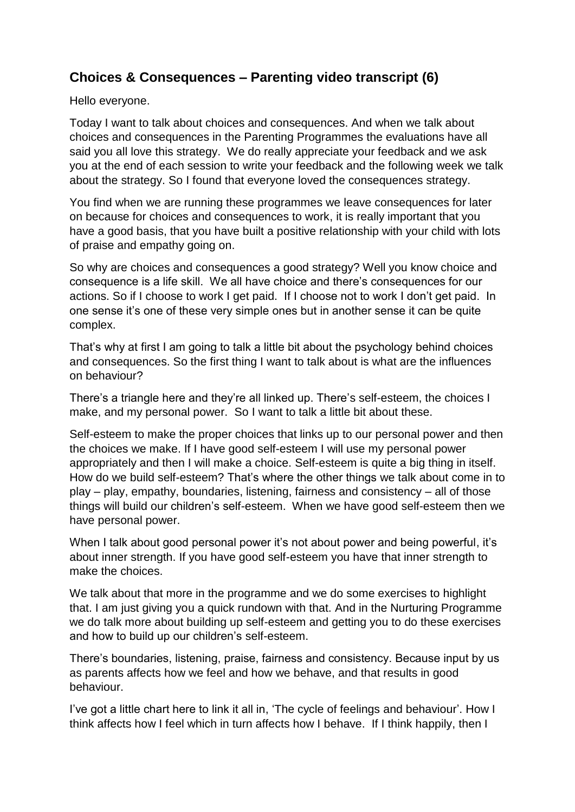## **Choices & Consequences – Parenting video transcript (6)**

Hello everyone.

Today I want to talk about choices and consequences. And when we talk about choices and consequences in the Parenting Programmes the evaluations have all said you all love this strategy. We do really appreciate your feedback and we ask you at the end of each session to write your feedback and the following week we talk about the strategy. So I found that everyone loved the consequences strategy.

You find when we are running these programmes we leave consequences for later on because for choices and consequences to work, it is really important that you have a good basis, that you have built a positive relationship with your child with lots of praise and empathy going on.

So why are choices and consequences a good strategy? Well you know choice and consequence is a life skill. We all have choice and there's consequences for our actions. So if I choose to work I get paid. If I choose not to work I don't get paid. In one sense it's one of these very simple ones but in another sense it can be quite complex.

That's why at first I am going to talk a little bit about the psychology behind choices and consequences. So the first thing I want to talk about is what are the influences on behaviour?

There's a triangle here and they're all linked up. There's self-esteem, the choices I make, and my personal power. So I want to talk a little bit about these.

Self-esteem to make the proper choices that links up to our personal power and then the choices we make. If I have good self-esteem I will use my personal power appropriately and then I will make a choice. Self-esteem is quite a big thing in itself. How do we build self-esteem? That's where the other things we talk about come in to play – play, empathy, boundaries, listening, fairness and consistency – all of those things will build our children's self-esteem. When we have good self-esteem then we have personal power.

When I talk about good personal power it's not about power and being powerful, it's about inner strength. If you have good self-esteem you have that inner strength to make the choices.

We talk about that more in the programme and we do some exercises to highlight that. I am just giving you a quick rundown with that. And in the Nurturing Programme we do talk more about building up self-esteem and getting you to do these exercises and how to build up our children's self-esteem.

There's boundaries, listening, praise, fairness and consistency. Because input by us as parents affects how we feel and how we behave, and that results in good behaviour.

I've got a little chart here to link it all in, 'The cycle of feelings and behaviour'. How I think affects how I feel which in turn affects how I behave. If I think happily, then I